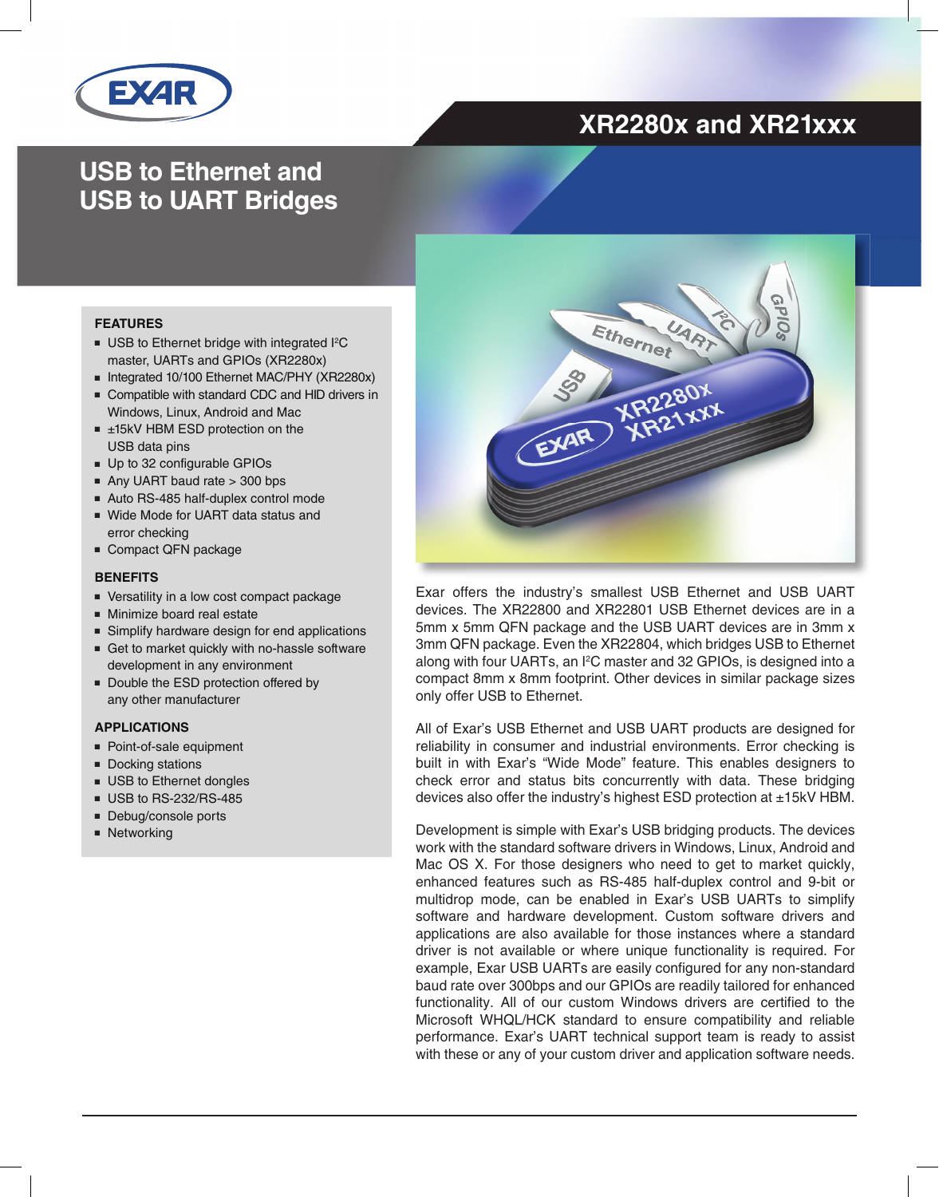

## **XR2280x and XR21xxx**

## **USB to Ethernet and USB to UART Bridges**

#### **FEATURES**

- USB to Ethernet bridge with integrated I<sup>2</sup>C master, UARTs and GPIOs (XR2280x)
- Integrated 10/100 Ethernet MAC/PHY (XR2280x)
- Compatible with standard CDC and HID drivers in Windows, Linux, Android and Mac
- ±15kV HBM ESD protection on the USB data pins
- Up to 32 configurable GPIOs
- Any UART baud rate > 300 bps
- Auto RS-485 half-duplex control mode
- Wide Mode for UART data status and error checking
- Compact QFN package

#### **BENEFITS**

- Versatility in a low cost compact package
- Minimize board real estate
- Simplify hardware design for end applications
- Get to market quickly with no-hassle software development in any environment
- Double the ESD protection offered by any other manufacturer

#### **APPLICATIONS**

- Point-of-sale equipment
- Docking stations
- USB to Ethernet dongles
- USB to RS-232/RS-485
- Debug/console ports
- Networking



Exar offers the industry's smallest USB Ethernet and USB UART devices. The XR22800 and XR22801 USB Ethernet devices are in a 5mm x 5mm QFN package and the USB UART devices are in 3mm x 3mm QFN package. Even the XR22804, which bridges USB to Ethernet along with four UARTs, an I<sup>2</sup>C master and 32 GPIOs, is designed into a compact 8mm x 8mm footprint. Other devices in similar package sizes only offer USB to Ethernet.

All of Exar's USB Ethernet and USB UART products are designed for reliability in consumer and industrial environments. Error checking is built in with Exar's "Wide Mode" feature. This enables designers to check error and status bits concurrently with data. These bridging devices also offer the industry's highest ESD protection at ±15kV HBM.

Development is simple with Exar's USB bridging products. The devices work with the standard software drivers in Windows, Linux, Android and Mac OS X. For those designers who need to get to market quickly, enhanced features such as RS-485 half-duplex control and 9-bit or multidrop mode, can be enabled in Exar's USB UARTs to simplify software and hardware development. Custom software drivers and applications are also available for those instances where a standard driver is not available or where unique functionality is required. For example, Exar USB UARTs are easily configured for any non-standard baud rate over 300bps and our GPIOs are readily tailored for enhanced functionality. All of our custom Windows drivers are certified to the Microsoft WHQL/HCK standard to ensure compatibility and reliable performance. Exar's UART technical support team is ready to assist with these or any of your custom driver and application software needs.